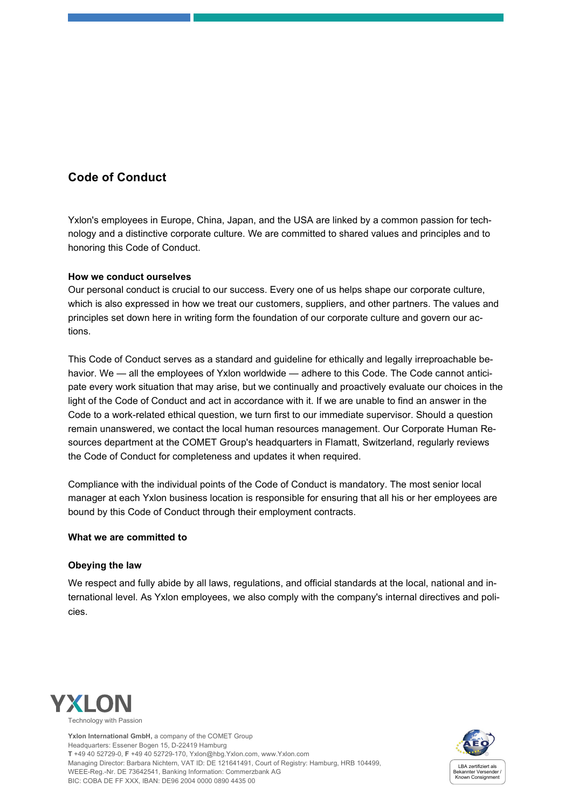# **Code of Conduct**

Yxlon's employees in Europe, China, Japan, and the USA are linked by a common passion for technology and a distinctive corporate culture. We are committed to shared values and principles and to honoring this Code of Conduct.

# **How we conduct ourselves**

Our personal conduct is crucial to our success. Every one of us helps shape our corporate culture, which is also expressed in how we treat our customers, suppliers, and other partners. The values and principles set down here in writing form the foundation of our corporate culture and govern our actions.

This Code of Conduct serves as a standard and guideline for ethically and legally irreproachable behavior. We - all the employees of Yxlon worldwide - adhere to this Code. The Code cannot anticipate every work situation that may arise, but we continually and proactively evaluate our choices in the light of the Code of Conduct and act in accordance with it. If we are unable to find an answer in the Code to a work-related ethical question, we turn first to our immediate supervisor. Should a question remain unanswered, we contact the local human resources management. Our Corporate Human Resources department at the COMET Group's headquarters in Flamatt, Switzerland, regularly reviews the Code of Conduct for completeness and updates it when required.

Compliance with the individual points of the Code of Conduct is mandatory. The most senior local manager at each Yxlon business location is responsible for ensuring that all his or her employees are bound by this Code of Conduct through their employment contracts.

# **What we are committed to**

# **Obeying the law**

We respect and fully abide by all laws, regulations, and official standards at the local, national and international level. As Yxlon employees, we also comply with the company's internal directives and policies.



**Yxlon International GmbH,** a company of the COMET Group Headquarters: Essener Bogen 15, D-22419 Hamburg **T** +49 40 52729-0, **F** +49 40 52729-170[, Yxlon@hbg.Yxlon.com,](mailto:yxlon@hbg.yxlon.com) www.Yxlon.com Managing Director: Barbara Nichtern, VAT ID: DE 121641491, Court of Registry: Hamburg, HRB 104499, WEEE-Reg.-Nr. DE 73642541, Banking Information: Commerzbank AG BIC: COBA DE FF XXX, IBAN: DE96 2004 0000 0890 4435 00

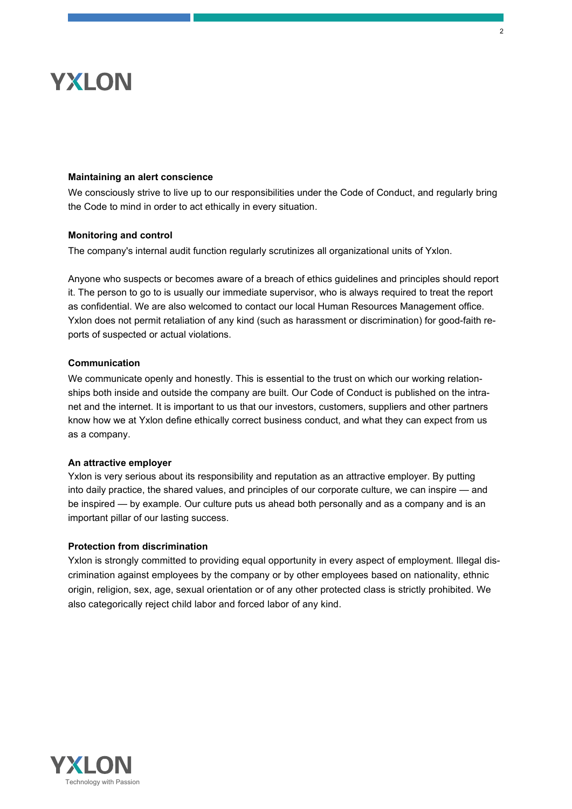# **Maintaining an alert conscience**

We consciously strive to live up to our responsibilities under the Code of Conduct, and regularly bring the Code to mind in order to act ethically in every situation.

#### **Monitoring and control**

The company's internal audit function regularly scrutinizes all organizational units of Yxlon.

Anyone who suspects or becomes aware of a breach of ethics guidelines and principles should report it. The person to go to is usually our immediate supervisor, who is always required to treat the report as confidential. We are also welcomed to contact our local Human Resources Management office. Yxlon does not permit retaliation of any kind (such as harassment or discrimination) for good-faith reports of suspected or actual violations.

# **Communication**

We communicate openly and honestly. This is essential to the trust on which our working relationships both inside and outside the company are built. Our Code of Conduct is published on the intranet and the internet. It is important to us that our investors, customers, suppliers and other partners know how we at Yxlon define ethically correct business conduct, and what they can expect from us as a company.

#### **An attractive employer**

Yxlon is very serious about its responsibility and reputation as an attractive employer. By putting into daily practice, the shared values, and principles of our corporate culture, we can inspire — and be inspired — by example. Our culture puts us ahead both personally and as a company and is an important pillar of our lasting success.

# **Protection from discrimination**

Yxlon is strongly committed to providing equal opportunity in every aspect of employment. Illegal discrimination against employees by the company or by other employees based on nationality, ethnic origin, religion, sex, age, sexual orientation or of any other protected class is strictly prohibited. We also categorically reject child labor and forced labor of any kind.

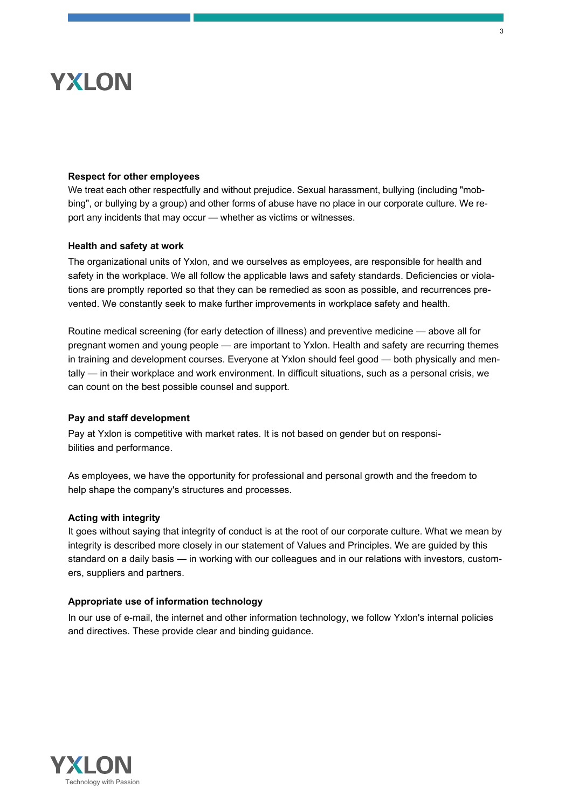### **Respect for other employees**

We treat each other respectfully and without prejudice. Sexual harassment, bullying (including "mobbing", or bullying by a group) and other forms of abuse have no place in our corporate culture. We report any incidents that may occur — whether as victims or witnesses.

#### **Health and safety at work**

The organizational units of Yxlon, and we ourselves as employees, are responsible for health and safety in the workplace. We all follow the applicable laws and safety standards. Deficiencies or violations are promptly reported so that they can be remedied as soon as possible, and recurrences prevented. We constantly seek to make further improvements in workplace safety and health.

Routine medical screening (for early detection of illness) and preventive medicine — above all for pregnant women and young people — are important to Yxlon. Health and safety are recurring themes in training and development courses. Everyone at Yxlon should feel good — both physically and mentally — in their workplace and work environment. In difficult situations, such as a personal crisis, we can count on the best possible counsel and support.

# **Pay and staff development**

Pay at Yxlon is competitive with market rates. It is not based on gender but on responsibilities and performance.

As employees, we have the opportunity for professional and personal growth and the freedom to help shape the company's structures and processes.

#### **Acting with integrity**

It goes without saying that integrity of conduct is at the root of our corporate culture. What we mean by integrity is described more closely in our statement of Values and Principles. We are guided by this standard on a daily basis — in working with our colleagues and in our relations with investors, customers, suppliers and partners.

#### **Appropriate use of information technology**

In our use of e-mail, the internet and other information technology, we follow Yxlon's internal policies and directives. These provide clear and binding guidance.

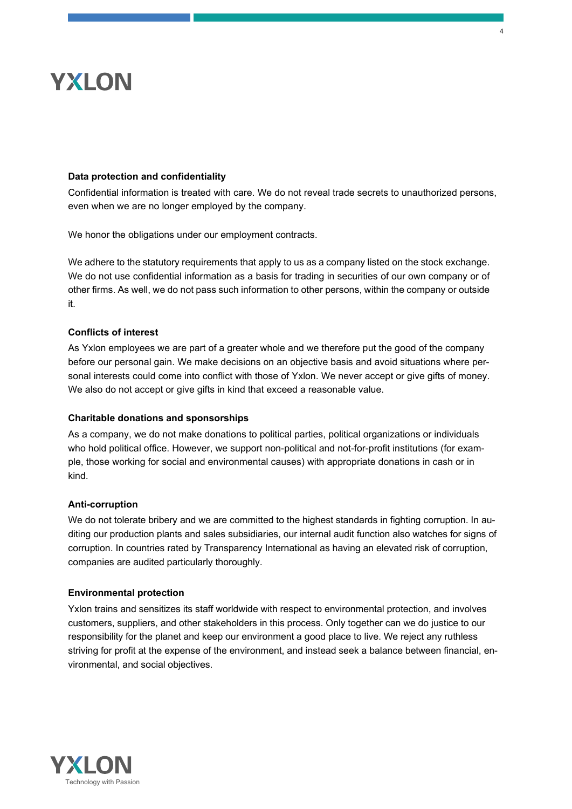# **Data protection and confidentiality**

Confidential information is treated with care. We do not reveal trade secrets to unauthorized persons, even when we are no longer employed by the company.

4

We honor the obligations under our employment contracts.

We adhere to the statutory requirements that apply to us as a company listed on the stock exchange. We do not use confidential information as a basis for trading in securities of our own company or of other firms. As well, we do not pass such information to other persons, within the company or outside it.

# **Conflicts of interest**

As Yxlon employees we are part of a greater whole and we therefore put the good of the company before our personal gain. We make decisions on an objective basis and avoid situations where personal interests could come into conflict with those of Yxlon. We never accept or give gifts of money. We also do not accept or give gifts in kind that exceed a reasonable value.

# **Charitable donations and sponsorships**

As a company, we do not make donations to political parties, political organizations or individuals who hold political office. However, we support non-political and not-for-profit institutions (for example, those working for social and environmental causes) with appropriate donations in cash or in kind.

#### **Anti-corruption**

We do not tolerate bribery and we are committed to the highest standards in fighting corruption. In auditing our production plants and sales subsidiaries, our internal audit function also watches for signs of corruption. In countries rated by Transparency International as having an elevated risk of corruption, companies are audited particularly thoroughly.

#### **Environmental protection**

Yxlon trains and sensitizes its staff worldwide with respect to environmental protection, and involves customers, suppliers, and other stakeholders in this process. Only together can we do justice to our responsibility for the planet and keep our environment a good place to live. We reject any ruthless striving for profit at the expense of the environment, and instead seek a balance between financial, environmental, and social objectives.